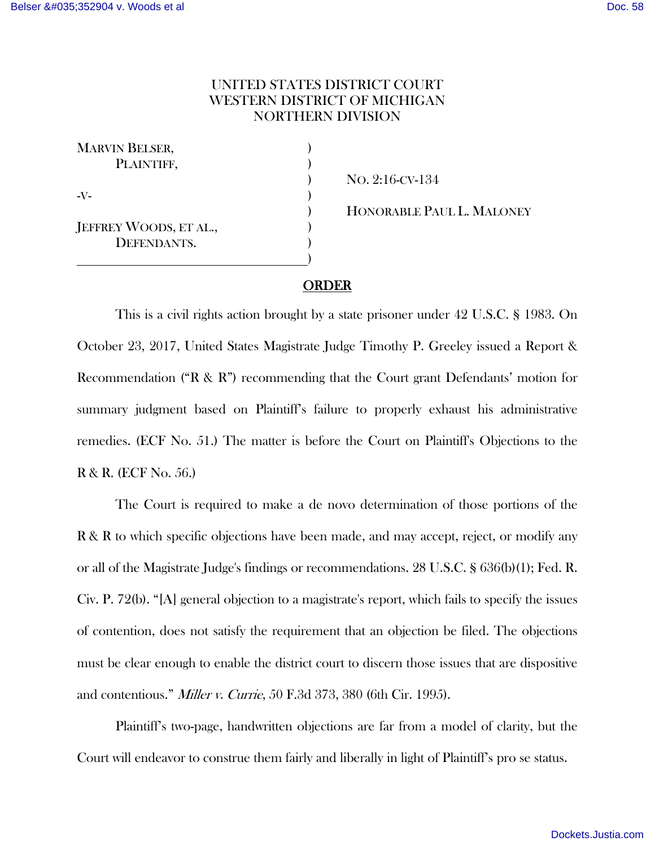## UNITED STATES DISTRICT COURT WESTERN DISTRICT OF MICHIGAN NORTHERN DIVISION

| <b>MARVIN BELSER,</b>  |  |
|------------------------|--|
| PLAINTIFF,             |  |
|                        |  |
| -V-                    |  |
|                        |  |
| JEFFREY WOODS, ET AL., |  |
| DEFENDANTS.            |  |
|                        |  |

 ) NO. 2:16-CV-134 ) HONORABLE PAUL L. MALONEY

## ORDER

This is a civil rights action brought by a state prisoner under 42 U.S.C. § 1983. On October 23, 2017, United States Magistrate Judge Timothy P. Greeley issued a Report & Recommendation ("R & R") recommending that the Court grant Defendants' motion for summary judgment based on Plaintiff's failure to properly exhaust his administrative remedies. (ECF No. 51.) The matter is before the Court on Plaintiff's Objections to the R & R. (ECF No. 56.)

The Court is required to make a de novo determination of those portions of the R & R to which specific objections have been made, and may accept, reject, or modify any or all of the Magistrate Judge's findings or recommendations. 28 U.S.C. § 636(b)(1); Fed. R. Civ. P. 72(b). "[A] general objection to a magistrate's report, which fails to specify the issues of contention, does not satisfy the requirement that an objection be filed. The objections must be clear enough to enable the district court to discern those issues that are dispositive and contentious." Miller v. Currie, 50 F.3d 373, 380 (6th Cir. 1995).

 Plaintiff's two-page, handwritten objections are far from a model of clarity, but the Court will endeavor to construe them fairly and liberally in light of Plaintiff's pro se status.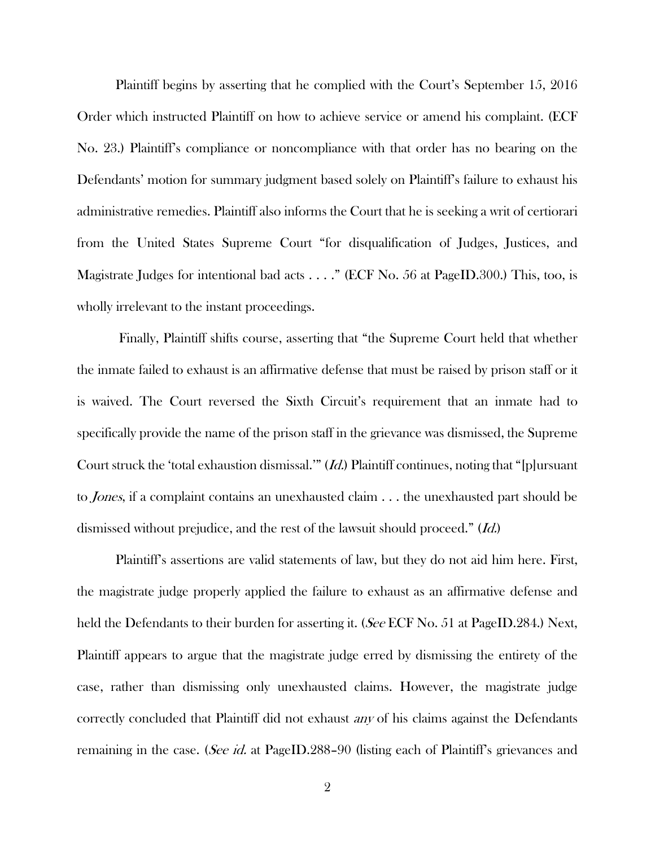Plaintiff begins by asserting that he complied with the Court's September 15, 2016 Order which instructed Plaintiff on how to achieve service or amend his complaint. (ECF No. 23.) Plaintiff's compliance or noncompliance with that order has no bearing on the Defendants' motion for summary judgment based solely on Plaintiff's failure to exhaust his administrative remedies. Plaintiff also informs the Court that he is seeking a writ of certiorari from the United States Supreme Court "for disqualification of Judges, Justices, and Magistrate Judges for intentional bad acts . . . . " (ECF No. 56 at PageID.300.) This, too, is wholly irrelevant to the instant proceedings.

 Finally, Plaintiff shifts course, asserting that "the Supreme Court held that whether the inmate failed to exhaust is an affirmative defense that must be raised by prison staff or it is waived. The Court reversed the Sixth Circuit's requirement that an inmate had to specifically provide the name of the prison staff in the grievance was dismissed, the Supreme Court struck the 'total exhaustion dismissal.'" (Id.) Plaintiff continues, noting that "[p]ursuant to Jones, if a complaint contains an unexhausted claim . . . the unexhausted part should be dismissed without prejudice, and the rest of the lawsuit should proceed." (Id.)

 Plaintiff's assertions are valid statements of law, but they do not aid him here. First, the magistrate judge properly applied the failure to exhaust as an affirmative defense and held the Defendants to their burden for asserting it. (See ECF No. 51 at PageID.284.) Next, Plaintiff appears to argue that the magistrate judge erred by dismissing the entirety of the case, rather than dismissing only unexhausted claims. However, the magistrate judge correctly concluded that Plaintiff did not exhaust *any* of his claims against the Defendants remaining in the case. (*See id.* at PageID.288–90 (listing each of Plaintiff's grievances and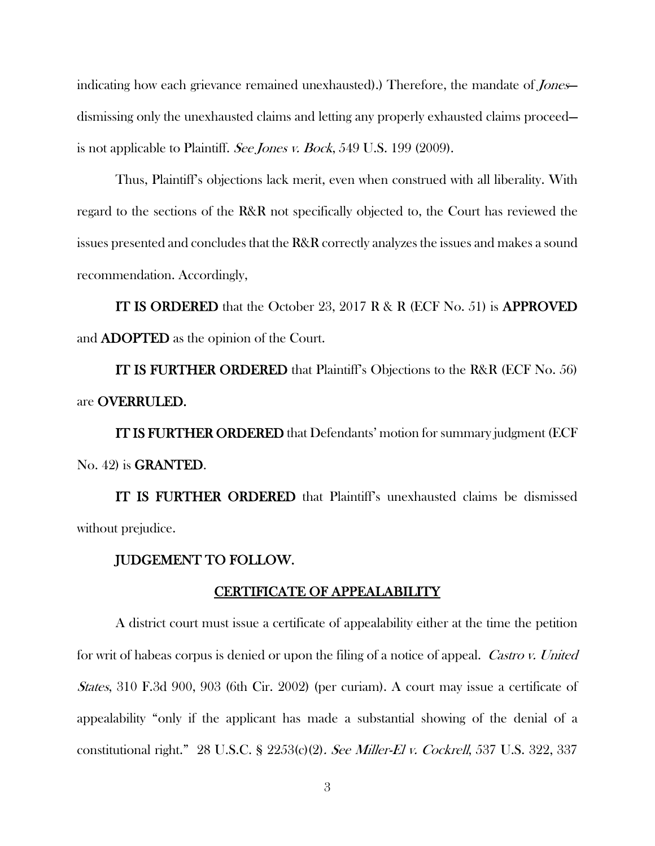indicating how each grievance remained unexhausted).) Therefore, the mandate of *Jones* dismissing only the unexhausted claims and letting any properly exhausted claims proceed is not applicable to Plaintiff. See Jones v. Bock, 549 U.S. 199 (2009).

Thus, Plaintiff's objections lack merit, even when construed with all liberality. With regard to the sections of the R&R not specifically objected to, the Court has reviewed the issues presented and concludes that the R&R correctly analyzes the issues and makes a sound recommendation. Accordingly,

IT IS ORDERED that the October 23, 2017 R & R (ECF No. 51) is APPROVED and ADOPTED as the opinion of the Court.

IT IS FURTHER ORDERED that Plaintiff's Objections to the R&R (ECF No. 56) are OVERRULED.

IT IS FURTHER ORDERED that Defendants' motion for summary judgment (ECF No. 42) is GRANTED.

IT IS FURTHER ORDERED that Plaintiff's unexhausted claims be dismissed without prejudice.

## JUDGEMENT TO FOLLOW.

## CERTIFICATE OF APPEALABILITY

A district court must issue a certificate of appealability either at the time the petition for writ of habeas corpus is denied or upon the filing of a notice of appeal. *Castro v. United* States, 310 F.3d 900, 903 (6th Cir. 2002) (per curiam). A court may issue a certificate of appealability "only if the applicant has made a substantial showing of the denial of a constitutional right." 28 U.S.C. § 2253(c)(2). See Miller-El v. Cockrell, 537 U.S. 322, 337